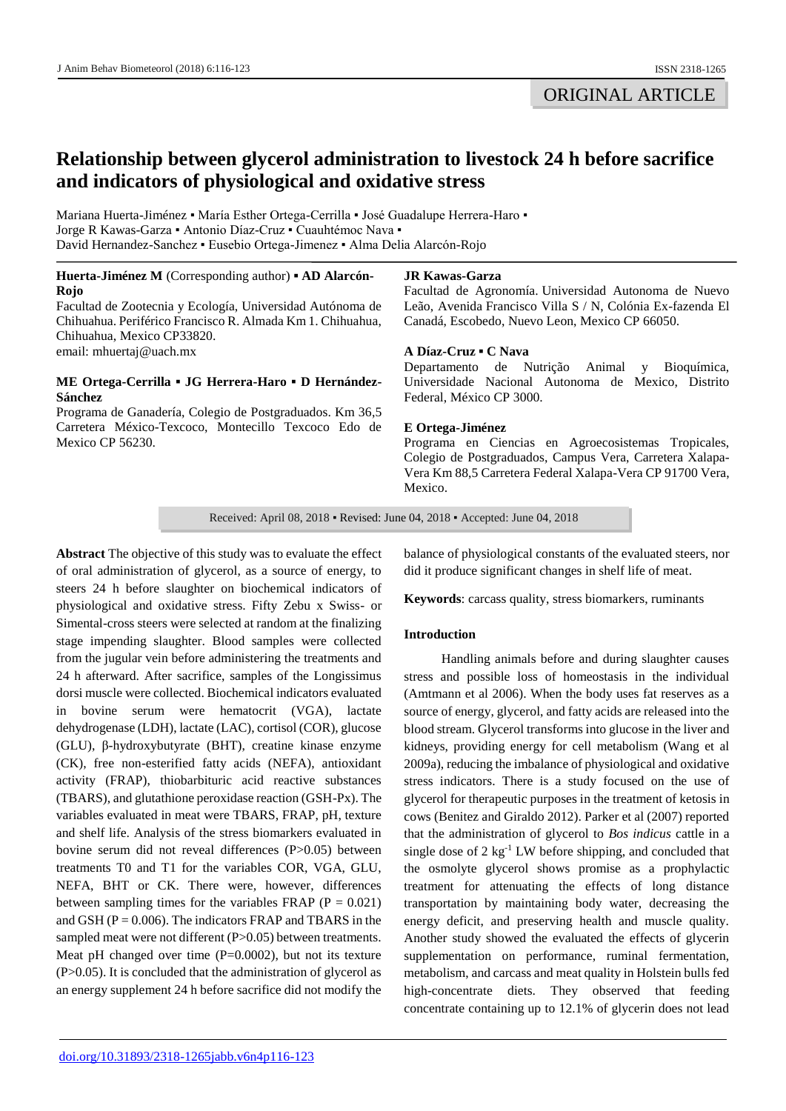# **Relationship between glycerol administration to livestock 24 h before sacrifice and indicators of physiological and oxidative stress**

Mariana Huerta-Jiménez ▪ María Esther Ortega-Cerrilla ▪ José Guadalupe Herrera-Haro ▪ Jorge R Kawas-Garza ▪ Antonio Díaz-Cruz ▪ Cuauhtémoc Nava ▪ David Hernandez-Sanchez ▪ Eusebio Ortega-Jimenez ▪ Alma Delia Alarcón-Rojo

## **Huerta-Jiménez M** (Corresponding author) **▪ AD Alarcón-Rojo**

Facultad de Zootecnia y Ecología, Universidad Autónoma de Chihuahua. Periférico Francisco R. Almada Km 1. Chihuahua, Chihuahua, Mexico CP33820. email: mhuertaj@uach.mx

# **ME Ortega-Cerrilla ▪ JG Herrera-Haro ▪ D Hernández-Sánchez**

Programa de Ganadería, Colegio de Postgraduados. Km 36,5 Carretera México-Texcoco, Montecillo Texcoco Edo de Mexico CP 56230.

# **JR Kawas-Garza**

Facultad de Agronomía. Universidad Autonoma de Nuevo Leão, Avenida Francisco Villa S / N, Colónia Ex-fazenda El Canadá, Escobedo, Nuevo Leon, Mexico CP 66050.

# **A Díaz-Cruz ▪ C Nava**

Departamento de Nutrição Animal y Bioquímica, Universidade Nacional Autonoma de Mexico, Distrito Federal, México CP 3000.

# **E Ortega-Jiménez**

Programa en Ciencias en Agroecosistemas Tropicales, Colegio de Postgraduados, Campus Vera, Carretera Xalapa-Vera Km 88,5 Carretera Federal Xalapa-Vera CP 91700 Vera, Mexico.

Received: April 08, 2018 ▪ Revised: June 04, 2018 ▪ Accepted: June 04, 2018

**Abstract** The objective of this study was to evaluate the effect of oral administration of glycerol, as a source of energy, to steers 24 h before slaughter on biochemical indicators of physiological and oxidative stress. Fifty Zebu x Swiss- or Simental-cross steers were selected at random at the finalizing stage impending slaughter. Blood samples were collected from the jugular vein before administering the treatments and 24 h afterward. After sacrifice, samples of the Longissimus dorsi muscle were collected. Biochemical indicators evaluated in bovine serum were hematocrit (VGA), lactate dehydrogenase (LDH), lactate (LAC), cortisol (COR), glucose (GLU), β-hydroxybutyrate (BHT), creatine kinase enzyme (CK), free non-esterified fatty acids (NEFA), antioxidant activity (FRAP), thiobarbituric acid reactive substances (TBARS), and glutathione peroxidase reaction (GSH-Px). The variables evaluated in meat were TBARS, FRAP, pH, texture and shelf life. Analysis of the stress biomarkers evaluated in bovine serum did not reveal differences (P>0.05) between treatments T0 and T1 for the variables COR, VGA, GLU, NEFA, BHT or CK. There were, however, differences between sampling times for the variables FRAP ( $P = 0.021$ ) and GSH ( $P = 0.006$ ). The indicators FRAP and TBARS in the sampled meat were not different (P>0.05) between treatments. Meat pH changed over time (P=0.0002), but not its texture  $(P>0.05)$ . It is concluded that the administration of glycerol as an energy supplement 24 h before sacrifice did not modify the

balance of physiological constants of the evaluated steers, nor did it produce significant changes in shelf life of meat.

**Keywords**: carcass quality, stress biomarkers, ruminants

# **Introduction**

Handling animals before and during slaughter causes stress and possible loss of homeostasis in the individual (Amtmann et al 2006). When the body uses fat reserves as a source of energy, glycerol, and fatty acids are released into the blood stream. Glycerol transforms into glucose in the liver and kidneys, providing energy for cell metabolism (Wang et al 2009a), reducing the imbalance of physiological and oxidative stress indicators. There is a study focused on the use of glycerol for therapeutic purposes in the treatment of ketosis in cows (Benitez and Giraldo 2012). Parker et al (2007) reported that the administration of glycerol to *Bos indicus* cattle in a single dose of 2 kg<sup>-1</sup> LW before shipping, and concluded that the osmolyte glycerol shows promise as a prophylactic treatment for attenuating the effects of long distance transportation by maintaining body water, decreasing the energy deficit, and preserving health and muscle quality. Another study showed the evaluated the effects of glycerin supplementation on performance, ruminal fermentation, metabolism, and carcass and meat quality in Holstein bulls fed high-concentrate diets. They observed that feeding concentrate containing up to 12.1% of glycerin does not lead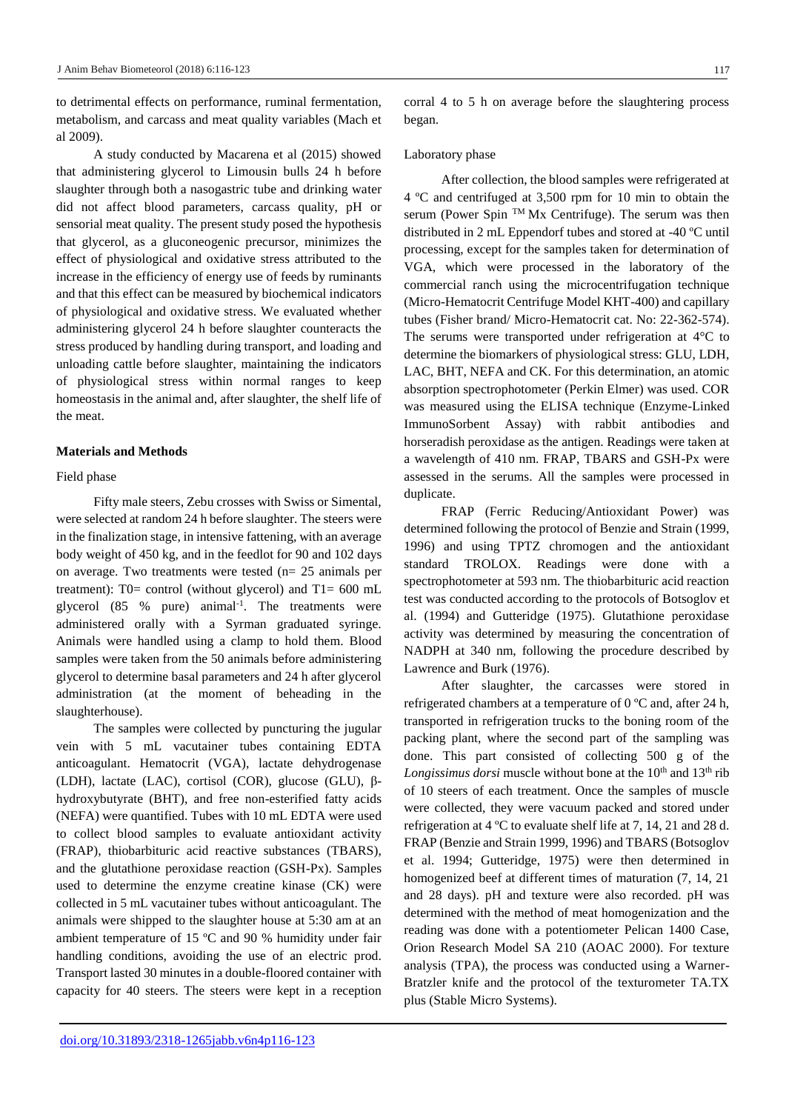to detrimental effects on performance, ruminal fermentation, metabolism, and carcass and meat quality variables (Mach et al 2009).

A study conducted by Macarena et al (2015) showed that administering glycerol to Limousin bulls 24 h before slaughter through both a nasogastric tube and drinking water did not affect blood parameters, carcass quality, pH or sensorial meat quality. The present study posed the hypothesis that glycerol, as a gluconeogenic precursor, minimizes the effect of physiological and oxidative stress attributed to the increase in the efficiency of energy use of feeds by ruminants and that this effect can be measured by biochemical indicators of physiological and oxidative stress. We evaluated whether administering glycerol 24 h before slaughter counteracts the stress produced by handling during transport, and loading and unloading cattle before slaughter, maintaining the indicators of physiological stress within normal ranges to keep homeostasis in the animal and, after slaughter, the shelf life of the meat.

### **Materials and Methods**

#### Field phase

Fifty male steers, Zebu crosses with Swiss or Simental, were selected at random 24 h before slaughter. The steers were in the finalization stage, in intensive fattening, with an average body weight of 450 kg, and in the feedlot for 90 and 102 days on average. Two treatments were tested (n= 25 animals per treatment): T0= control (without glycerol) and T1= 600 mL glycerol  $(85 \%$  pure) animal<sup>-1</sup>. The treatments were administered orally with a Syrman graduated syringe. Animals were handled using a clamp to hold them. Blood samples were taken from the 50 animals before administering glycerol to determine basal parameters and 24 h after glycerol administration (at the moment of beheading in the slaughterhouse).

The samples were collected by puncturing the jugular vein with 5 mL vacutainer tubes containing EDTA anticoagulant. Hematocrit (VGA), lactate dehydrogenase (LDH), lactate (LAC), cortisol (COR), glucose (GLU), βhydroxybutyrate (BHT), and free non-esterified fatty acids (NEFA) were quantified. Tubes with 10 mL EDTA were used to collect blood samples to evaluate antioxidant activity (FRAP), thiobarbituric acid reactive substances (TBARS), and the glutathione peroxidase reaction (GSH-Px). Samples used to determine the enzyme creatine kinase (CK) were collected in 5 mL vacutainer tubes without anticoagulant. The animals were shipped to the slaughter house at 5:30 am at an ambient temperature of 15 ºC and 90 % humidity under fair handling conditions, avoiding the use of an electric prod. Transport lasted 30 minutes in a double-floored container with capacity for 40 steers. The steers were kept in a reception corral 4 to 5 h on average before the slaughtering process began.

#### Laboratory phase

After collection, the blood samples were refrigerated at 4 ºC and centrifuged at 3,500 rpm for 10 min to obtain the serum (Power Spin TM Mx Centrifuge). The serum was then distributed in 2 mL Eppendorf tubes and stored at -40 ºC until processing, except for the samples taken for determination of VGA, which were processed in the laboratory of the commercial ranch using the microcentrifugation technique (Micro-Hematocrit Centrifuge Model KHT-400) and capillary tubes (Fisher brand/ Micro-Hematocrit cat. No: 22-362-574). The serums were transported under refrigeration at 4°C to determine the biomarkers of physiological stress: GLU, LDH, LAC, BHT, NEFA and CK. For this determination, an atomic absorption spectrophotometer (Perkin Elmer) was used. COR was measured using the ELISA technique (Enzyme-Linked ImmunoSorbent Assay) with rabbit antibodies and horseradish peroxidase as the antigen. Readings were taken at a wavelength of 410 nm. FRAP, TBARS and GSH-Px were assessed in the serums. All the samples were processed in duplicate.

FRAP (Ferric Reducing/Antioxidant Power) was determined following the protocol of Benzie and Strain (1999, 1996) and using TPTZ chromogen and the antioxidant standard TROLOX. Readings were done with a spectrophotometer at 593 nm. The thiobarbituric acid reaction test was conducted according to the protocols of Botsoglov et al. (1994) and Gutteridge (1975). Glutathione peroxidase activity was determined by measuring the concentration of NADPH at 340 nm, following the procedure described by Lawrence and Burk (1976).

After slaughter, the carcasses were stored in refrigerated chambers at a temperature of 0 ºC and, after 24 h, transported in refrigeration trucks to the boning room of the packing plant, where the second part of the sampling was done. This part consisted of collecting 500 g of the *Longissimus dorsi* muscle without bone at the 10<sup>th</sup> and 13<sup>th</sup> rib of 10 steers of each treatment. Once the samples of muscle were collected, they were vacuum packed and stored under refrigeration at 4 ºC to evaluate shelf life at 7, 14, 21 and 28 d. FRAP (Benzie and Strain 1999, 1996) and TBARS (Botsoglov et al. 1994; Gutteridge, 1975) were then determined in homogenized beef at different times of maturation  $(7, 14, 21)$ and 28 days). pH and texture were also recorded. pH was determined with the method of meat homogenization and the reading was done with a potentiometer Pelican 1400 Case, Orion Research Model SA 210 (AOAC 2000). For texture analysis (TPA), the process was conducted using a Warner-Bratzler knife and the protocol of the texturometer TA.TX plus (Stable Micro Systems).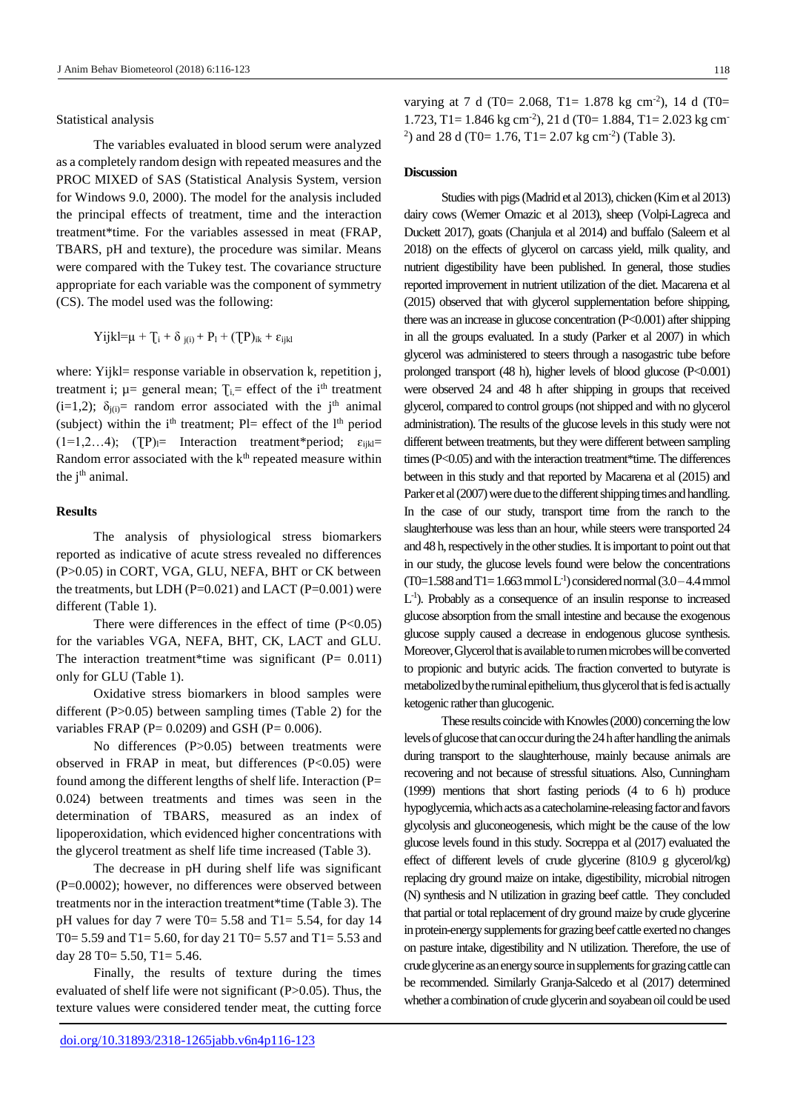Statistical analysis

The variables evaluated in blood serum were analyzed as a completely random design with repeated measures and the PROC MIXED of SAS (Statistical Analysis System, version for Windows 9.0, 2000). The model for the analysis included the principal effects of treatment, time and the interaction treatment\*time. For the variables assessed in meat (FRAP, TBARS, pH and texture), the procedure was similar. Means were compared with the Tukey test. The covariance structure appropriate for each variable was the component of symmetry (CS). The model used was the following:

$$
Yijkl=\mu + T_i + \delta_{j(i)} + P_l + (TP)_{ik} + \epsilon_{ijkl}
$$

where: Yijkl= response variable in observation k, repetition j, treatment i;  $\mu$  = general mean;  $T_i$  = effect of the i<sup>th</sup> treatment (i=1,2);  $\delta_{i(i)}$ = random error associated with the j<sup>th</sup> animal (subject) within the i<sup>th</sup> treatment; Pl= effect of the  $l<sup>th</sup>$  period  $(1=1,2...4);$   $(TP)=$  Interaction treatment\*period;  $\varepsilon_{ijkl}=$ Random error associated with the  $k<sup>th</sup>$  repeated measure within the j<sup>th</sup> animal.

## **Results**

The analysis of physiological stress biomarkers reported as indicative of acute stress revealed no differences (P>0.05) in CORT, VGA, GLU, NEFA, BHT or CK between the treatments, but LDH  $(P=0.021)$  and LACT  $(P=0.001)$  were different (Table 1).

There were differences in the effect of time  $(P<0.05)$ for the variables VGA, NEFA, BHT, CK, LACT and GLU. The interaction treatment\*time was significant  $(P= 0.011)$ only for GLU (Table 1).

Oxidative stress biomarkers in blood samples were different (P>0.05) between sampling times (Table 2) for the variables FRAP ( $P = 0.0209$ ) and GSH ( $P = 0.006$ ).

No differences (P>0.05) between treatments were observed in FRAP in meat, but differences (P<0.05) were found among the different lengths of shelf life. Interaction (P= 0.024) between treatments and times was seen in the determination of TBARS, measured as an index of lipoperoxidation, which evidenced higher concentrations with the glycerol treatment as shelf life time increased (Table 3).

The decrease in pH during shelf life was significant  $(P=0.0002)$ ; however, no differences were observed between treatments nor in the interaction treatment\*time (Table 3). The pH values for day 7 were T0= 5.58 and T1= 5.54, for day 14 T0= 5.59 and T1= 5.60, for day 21 T0= 5.57 and T1= 5.53 and day 28 T0= 5.50, T1= 5.46.

Finally, the results of texture during the times evaluated of shelf life were not significant (P>0.05). Thus, the texture values were considered tender meat, the cutting force varying at 7 d (T0= 2.068, T1= 1.878 kg cm<sup>-2</sup>), 14 d (T0= 1.723, T1= 1.846 kg cm-2 ), 21 d (T0= 1.884, T1= 2.023 kg cm-<sup>2</sup>) and 28 d (T0= 1.76, T1= 2.07 kg cm<sup>-2</sup>) (Table 3).

## **Discussion**

Studies with pigs (Madrid et al 2013), chicken (Kim et al 2013) dairy cows (Werner Omazic et al 2013), sheep (Volpi-Lagreca and Duckett 2017), goats (Chanjula et al 2014) and buffalo (Saleem et al 2018) on the effects of glycerol on carcass yield, milk quality, and nutrient digestibility have been published. In general, those studies reported improvement in nutrient utilization of the diet. Macarena et al (2015) observed that with glycerol supplementation before shipping, there was an increase in glucose concentration (P<0.001) after shipping in all the groups evaluated. In a study (Parker et al 2007) in which glycerol was administered to steers through a nasogastric tube before prolonged transport (48 h), higher levels of blood glucose (P<0.001) were observed 24 and 48 h after shipping in groups that received glycerol, compared to control groups (not shipped and with no glycerol administration). The results of the glucose levels in this study were not different between treatments, but they were different between sampling times (P<0.05) and with the interaction treatment\*time. The differences between in this study and that reported by Macarena et al (2015) and Parker et al (2007) were due to the different shipping times and handling. In the case of our study, transport time from the ranch to the slaughterhouse was less than an hour, while steers were transported 24 and 48 h, respectively in the other studies. It is important to point out that in our study, the glucose levels found were below the concentrations  $(T0=1.588$  and  $T1=1.663$  mmol  $L^{-1}$ ) considered normal  $(3.0-4.4$  mmol L<sup>-1</sup>). Probably as a consequence of an insulin response to increased glucose absorption from the small intestine and because the exogenous glucose supply caused a decrease in endogenous glucose synthesis. Moreover, Glycerol that is available to rumen microbes will be converted to propionic and butyric acids. The fraction converted to butyrate is metabolized by the ruminal epithelium, thus glycerol that is fed is actually ketogenic rather than glucogenic.

These results coincide with Knowles (2000) concerning the low levels of glucose that can occur during the 24 h after handling the animals during transport to the slaughterhouse, mainly because animals are recovering and not because of stressful situations. Also, Cunningham (1999) mentions that short fasting periods (4 to 6 h) produce hypoglycemia, which acts as a catecholamine-releasing factor and favors glycolysis and gluconeogenesis, which might be the cause of the low glucose levels found in this study. Socreppa et al (2017) evaluated the effect of different levels of crude glycerine (810.9 g glycerol/kg) replacing dry ground maize on intake, digestibility, microbial nitrogen (N) synthesis and N utilization in grazing beef cattle. They concluded that partial or total replacement of dry ground maize by crude glycerine in protein-energy supplements for grazing beef cattle exerted no changes on pasture intake, digestibility and N utilization. Therefore, the use of crude glycerine as an energy source in supplements for grazing cattle can be recommended. Similarly Granja-Salcedo et al (2017) determined whether a combination of crude glycerin and soyabean oil could be used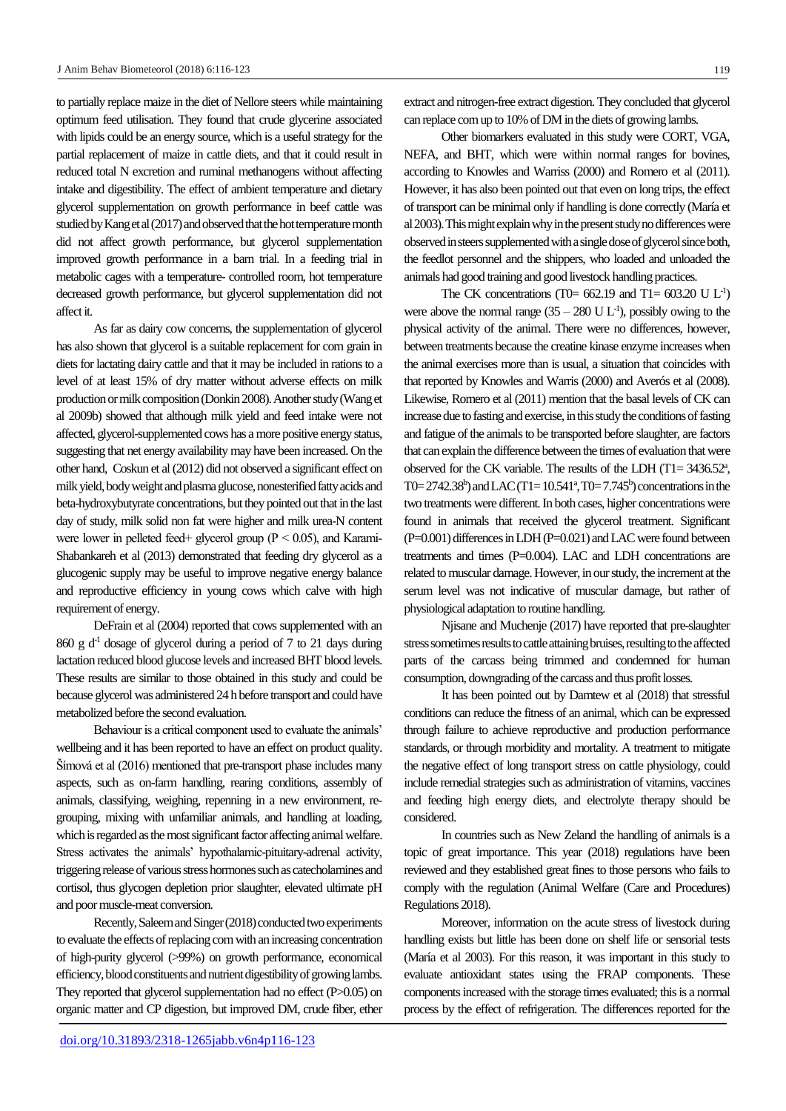to partially replace maize in the diet of Nellore steers while maintaining optimum feed utilisation. They found that crude glycerine associated with lipids could be an energy source, which is a useful strategy for the partial replacement of maize in cattle diets, and that it could result in reduced total N excretion and ruminal methanogens without affecting intake and digestibility. The effect of ambient temperature and dietary glycerol supplementation on growth performance in beef cattle was studied by Kang et al (2017) and observed that the hot temperature month did not affect growth performance, but glycerol supplementation improved growth performance in a barn trial. In a feeding trial in metabolic cages with a temperature- controlled room, hot temperature decreased growth performance, but glycerol supplementation did not affect it.

As far as dairy cow concerns, the supplementation of glycerol has also shown that glycerol is a suitable replacement for corn grain in diets for lactating dairy cattle and that it may be included in rations to a level of at least 15% of dry matter without adverse effects on milk production or milk composition (Donkin 2008). Another study (Wanget al 2009b) showed that although milk yield and feed intake were not affected, glycerol-supplemented cows has a more positive energy status, suggesting that net energy availability may have been increased. On the other hand, Coskun et al (2012) did not observed a significant effect on milk yield, body weight and plasma glucose, nonesterified fatty acids and beta-hydroxybutyrate concentrations, but they pointed out that in the last day of study, milk solid non fat were higher and milk urea-N content were lower in pelleted feed+ glycerol group ( $P < 0.05$ ), and Karami-Shabankareh et al (2013) demonstrated that feeding dry glycerol as a glucogenic supply may be useful to improve negative energy balance and reproductive efficiency in young cows which calve with high requirement of energy.

DeFrain et al (2004) reported that cows supplemented with an 860 g  $d<sup>-1</sup>$  dosage of glycerol during a period of 7 to 21 days during lactation reduced blood glucose levels and increased BHT blood levels. These results are similar to those obtained in this study and could be because glycerol was administered 24 h before transport and could have metabolized before the second evaluation.

Behaviour is a critical component used to evaluate the animals' wellbeing and it has been reported to have an effect on product quality. Šímová et al (2016) mentioned that pre-transport phase includes many aspects, such as on-farm handling, rearing conditions, assembly of animals, classifying, weighing, repenning in a new environment, regrouping, mixing with unfamiliar animals, and handling at loading, which is regarded as the most significant factor affecting animal welfare. Stress activates the animals' hypothalamic-pituitary-adrenal activity, triggering release of various stress hormones such as catecholamines and cortisol, thus glycogen depletion prior slaughter, elevated ultimate pH and poor muscle-meat conversion.

Recently, Saleem and Singer (2018) conducted two experiments to evaluate the effects of replacing corn with an increasing concentration of high-purity glycerol (>99%) on growth performance, economical efficiency, blood constituents and nutrient digestibility of growing lambs. They reported that glycerol supplementation had no effect (P>0.05) on organic matter and CP digestion, but improved DM, crude fiber, ether

extract and nitrogen-free extract digestion. They concluded that glycerol can replace corn up to 10% of DM in the diets of growing lambs.

Other biomarkers evaluated in this study were CORT, VGA, NEFA, and BHT, which were within normal ranges for bovines, according to Knowles and Warriss (2000) and Romero et al (2011). However, it has also been pointed out that even on long trips, the effect of transport can be minimal only if handling is done correctly (María et al 2003). This might explain why in the present study no differences were observed in steers supplemented with a single dose of glycerol since both, the feedlot personnel and the shippers, who loaded and unloaded the animals had good training and good livestock handling practices.

The CK concentrations (T0=  $662.19$  and T1=  $603.20$  U L<sup>-1</sup>) were above the normal range  $(35 - 280 \text{ U L}^{-1})$ , possibly owing to the physical activity of the animal. There were no differences, however, between treatments because the creatine kinase enzyme increases when the animal exercises more than is usual, a situation that coincides with that reported by Knowles and Warris (2000) and Averós et al (2008). Likewise, Romero et al (2011) mention that the basal levels of CK can increase due to fasting and exercise, in this study the conditions of fasting and fatigue of the animals to be transported before slaughter, are factors that can explain the difference between the times of evaluation that were observed for the CK variable. The results of the LDH  $(T1=3436.52^a)$ , T0= 2742.38<sup>b</sup>) and LAC (T1= 10.541<sup>a</sup>, T0= 7.745<sup>b</sup>) concentrations in the two treatments were different. In both cases, higher concentrations were found in animals that received the glycerol treatment. Significant (P=0.001) differences in LDH (P=0.021) and LAC were found between treatments and times (P=0.004). LAC and LDH concentrations are related to muscular damage. However, in our study, the increment at the serum level was not indicative of muscular damage, but rather of physiological adaptation to routine handling.

Njisane and Muchenje (2017) have reported that pre-slaughter stress sometimes results to cattle attaining bruises, resulting to the affected parts of the carcass being trimmed and condemned for human consumption, downgrading of the carcass and thus profit losses.

It has been pointed out by Damtew et al (2018) that stressful conditions can reduce the fitness of an animal, which can be expressed through failure to achieve reproductive and production performance standards, or through morbidity and mortality. A treatment to mitigate the negative effect of long transport stress on cattle physiology, could include remedial strategies such as administration of vitamins, vaccines and feeding high energy diets, and electrolyte therapy should be considered.

In countries such as New Zeland the handling of animals is a topic of great importance. This year (2018) regulations have been reviewed and they established great fines to those persons who fails to comply with the regulation (Animal Welfare (Care and Procedures) Regulations 2018).

Moreover, information on the acute stress of livestock during handling exists but little has been done on shelf life or sensorial tests (María et al 2003). For this reason, it was important in this study to evaluate antioxidant states using the FRAP components. These components increased with the storage times evaluated; this is a normal process by the effect of refrigeration. The differences reported for the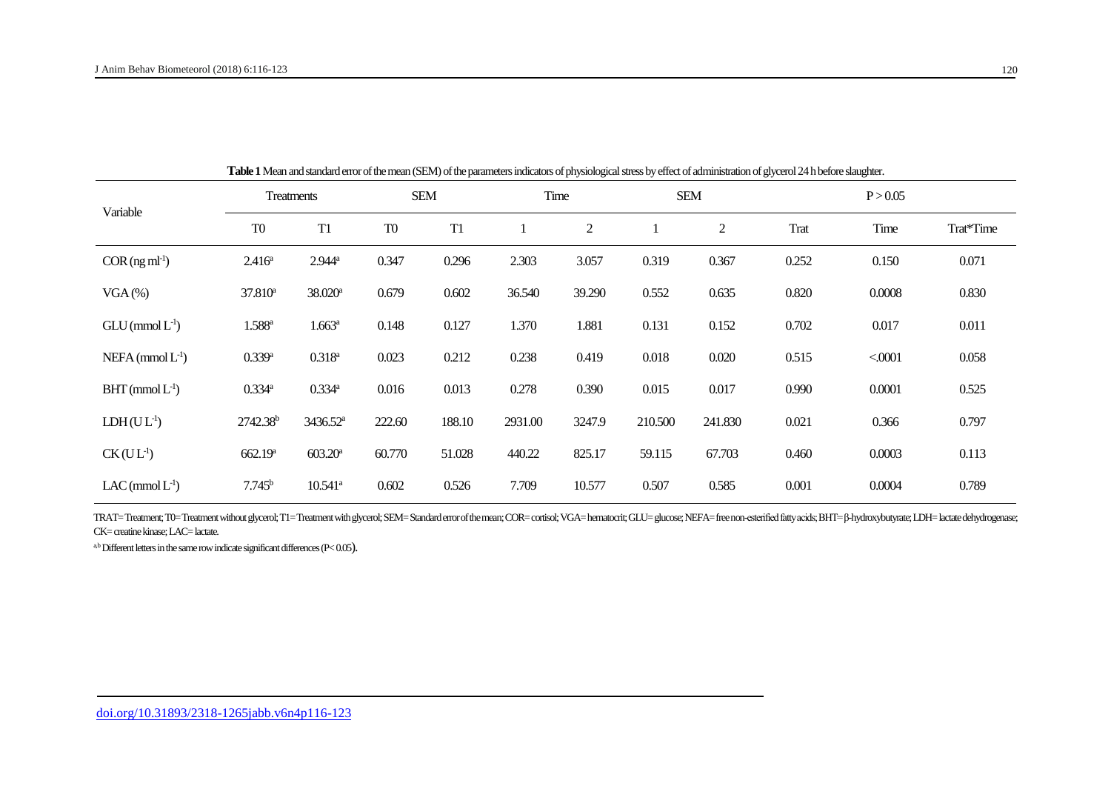| Variable                | Treatments           |                       | <b>SEM</b>     |                | Time    |                  | <b>SEM</b> |         | P > 0.05    |        |           |  |
|-------------------------|----------------------|-----------------------|----------------|----------------|---------|------------------|------------|---------|-------------|--------|-----------|--|
|                         | T <sub>0</sub>       | T <sub>1</sub>        | T <sub>0</sub> | T <sub>1</sub> |         | $\boldsymbol{2}$ |            | 2       | <b>Trat</b> | Time   | Trat*Time |  |
| $COR(ng ml-1)$          | $2.416^{\circ}$      | $2.944^a$             | 0.347          | 0.296          | 2.303   | 3.057            | 0.319      | 0.367   | 0.252       | 0.150  | 0.071     |  |
| $VGA$ (%)               | $37.810^a$           | $38.020$ <sup>a</sup> | 0.679          | 0.602          | 36.540  | 39.290           | 0.552      | 0.635   | 0.820       | 0.0008 | 0.830     |  |
| $GLU$ (mmol $L^{-1}$ )  | $1.588$ <sup>a</sup> | $1.663^{\rm a}$       | 0.148          | 0.127          | 1.370   | 1.881            | 0.131      | 0.152   | 0.702       | 0.017  | 0.011     |  |
| $NEFA$ (mmol $L^{-1}$ ) | $0.339$ <sup>a</sup> | $0.318^{a}$           | 0.023          | 0.212          | 0.238   | 0.419            | 0.018      | 0.020   | 0.515       | < 0001 | 0.058     |  |
| $BHT$ (mmol $L^{-1}$ )  | $0.334$ <sup>a</sup> | 0.334a                | 0.016          | 0.013          | 0.278   | 0.390            | 0.015      | 0.017   | 0.990       | 0.0001 | 0.525     |  |
| $LDH(UL-1)$             | 2742.38 <sup>b</sup> | 3436.52 <sup>a</sup>  | 222.60         | 188.10         | 2931.00 | 3247.9           | 210.500    | 241.830 | 0.021       | 0.366  | 0.797     |  |
| $CK (UL-1)$             | 662.19 <sup>a</sup>  | $603.20^a$            | 60.770         | 51.028         | 440.22  | 825.17           | 59.115     | 67.703  | 0.460       | 0.0003 | 0.113     |  |
| $LAC$ (mmol $L^{-1}$ )  | $7.745^b$            | $10.541$ <sup>a</sup> | 0.602          | 0.526          | 7.709   | 10.577           | 0.507      | 0.585   | 0.001       | 0.0004 | 0.789     |  |

**Table 1**Mean and standard error of the mean (SEM) of the parameters indicators of physiological stress by effect of administration of glycerol 24 h before slaughter.

TRAT=Treatment; T0=Treatment without glycerol; T1=Treatment with glycerol; SEM=Standard error of the mean; COR=cortisol; VGA=hematocrit; GLU=glucose; NEFA=free non-esterified fatty acids; BHT=ß-hydroxybutyrate; LDH=lactate CK= creatine kinase; LAC= lactate.

 $a$ , b Different letters in the same row indicate significant differences (P $<$  0.05).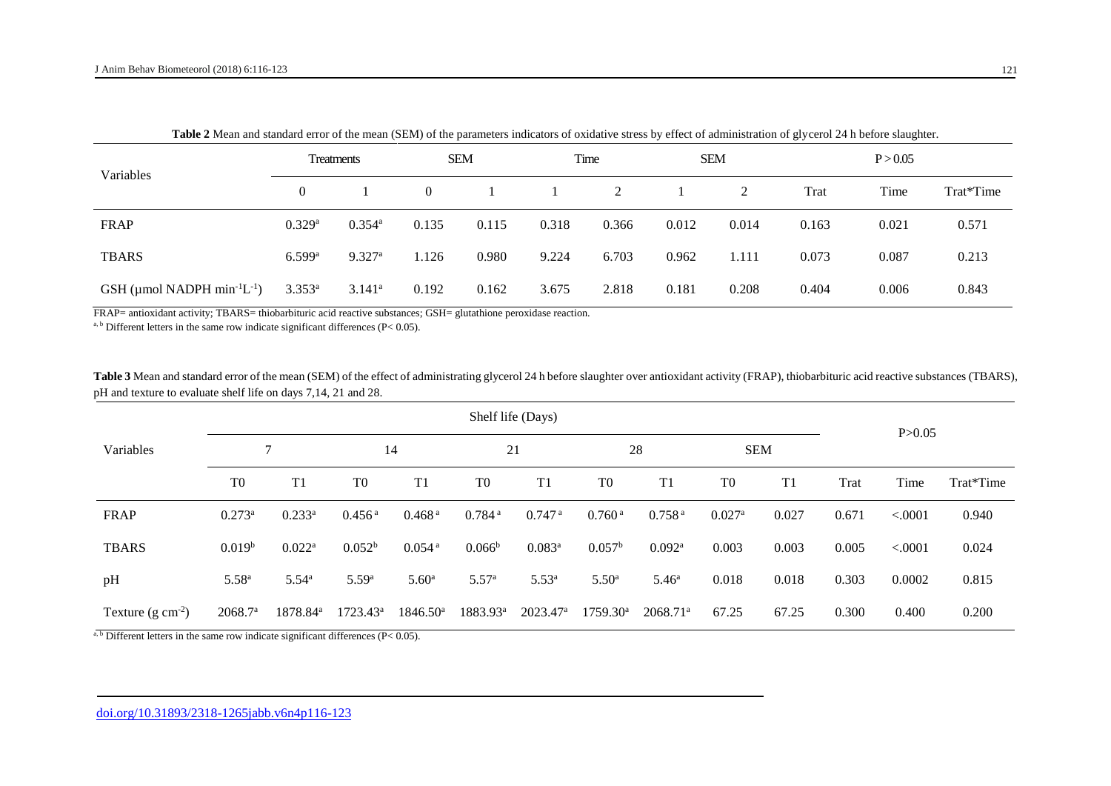|                                                     |                |                      |                |       |       |       |            |       | - -      |       |           |
|-----------------------------------------------------|----------------|----------------------|----------------|-------|-------|-------|------------|-------|----------|-------|-----------|
| Variables                                           | Treatments     |                      | <b>SEM</b>     |       | Time  |       | <b>SEM</b> |       | P > 0.05 |       |           |
|                                                     | $\overline{0}$ |                      | $\overline{0}$ |       |       | 2     |            |       | Trat     | Time  | Trat*Time |
| FRAP                                                | 0.329a         | $0.354$ <sup>a</sup> | 0.135          | 0.115 | 0.318 | 0.366 | 0.012      | 0.014 | 0.163    | 0.021 | 0.571     |
| <b>TBARS</b>                                        | 6.599a         | 9.327a               | 1.126          | 0.980 | 9.224 | 6.703 | 0.962      | 1.111 | 0.073    | 0.087 | 0.213     |
| GSH (µmol NADPH min <sup>-1</sup> L <sup>-1</sup> ) | $3.353^{a}$    | $3.141^a$            | 0.192          | 0.162 | 3.675 | 2.818 | 0.181      | 0.208 | 0.404    | 0.006 | 0.843     |

**Table 2** Mean and standard error of the mean (SEM) of the parameters indicators of oxidative stress by effect of administration of glycerol 24 h before slaughter.

FRAP= antioxidant activity; TBARS= thiobarbituric acid reactive substances; GSH= glutathione peroxidase reaction.

<sup>a, b</sup> Different letters in the same row indicate significant differences (P< 0.05).

Table 3 Mean and standard error of the mean (SEM) of the effect of administrating glycerol 24 h before slaughter over antioxidant activity (FRAP), thiobarbituric acid reactive substances (TBARS), pH and texture to evaluate shelf life on days 7,14, 21 and 28.

|                                                 | Shelf life (Days)   |                                                                                                                                                                                   |                     |                                  |                      |                      |                      |                        |                      |                |          |         |           |  |
|-------------------------------------------------|---------------------|-----------------------------------------------------------------------------------------------------------------------------------------------------------------------------------|---------------------|----------------------------------|----------------------|----------------------|----------------------|------------------------|----------------------|----------------|----------|---------|-----------|--|
| Variables                                       |                     |                                                                                                                                                                                   | 14                  |                                  | 21                   |                      | 28                   |                        | <b>SEM</b>           |                | P > 0.05 |         |           |  |
|                                                 | T <sub>0</sub>      | T1                                                                                                                                                                                | T <sub>0</sub>      | T1                               | T <sub>0</sub>       | T1                   | T <sub>0</sub>       | T1                     | T <sub>0</sub>       | T <sub>1</sub> | Trat     | Time    | Trat*Time |  |
| FRAP                                            | $0.273^a$           | $0.233^a$                                                                                                                                                                         | $0.456^{\text{ a}}$ | 0.468 <sup>a</sup>               | $0.784$ <sup>a</sup> | $0.747$ <sup>a</sup> | 0.760 <sup>a</sup>   | 0.758 <sup>a</sup>     | $0.027$ <sup>a</sup> | 0.027          | 0.671    | < .0001 | 0.940     |  |
| <b>TBARS</b>                                    | 0.019 <sup>b</sup>  | $0.022^a$                                                                                                                                                                         | $0.052^b$           | $0.054$ <sup>a</sup>             | $0.066^{\rm b}$      | $0.083^a$            | $0.057^{\rm b}$      | $0.092^{\rm a}$        | 0.003                | 0.003          | 0.005    | < .0001 | 0.024     |  |
| pH                                              | $5.58^{a}$          | $5.54^{\rm a}$                                                                                                                                                                    | 5.59 <sup>a</sup>   | 5.60 <sup>a</sup>                | 5.57 <sup>a</sup>    | $5.53^{a}$           | 5.50 <sup>a</sup>    | 5.46 <sup>a</sup>      | 0.018                | 0.018          | 0.303    | 0.0002  | 0.815     |  |
| Texture $(g \text{ cm}^{-2})$<br>shower and the | 2068.7 <sup>a</sup> | 1878.84 <sup>a</sup><br>$\mathbf{r} = \mathbf{r} \mathbf{r}$ , $\mathbf{r} = \mathbf{r} \mathbf{r}$ , $\mathbf{r} = \mathbf{r} \mathbf{r}$ , $\mathbf{r} = \mathbf{r} \mathbf{r}$ | $1723.43^{\rm a}$   | $1846.50^{\circ}$<br>$(2)$ $(2)$ | $1883.93^a$          | $2023.47^{\rm a}$    | $1759.30^{\text{a}}$ | $2068.71$ <sup>a</sup> | 67.25                | 67.25          | 0.300    | 0.400   | 0.200     |  |

 $b$  Different letters in the same row indicate significant differences (P $< 0.05$ ).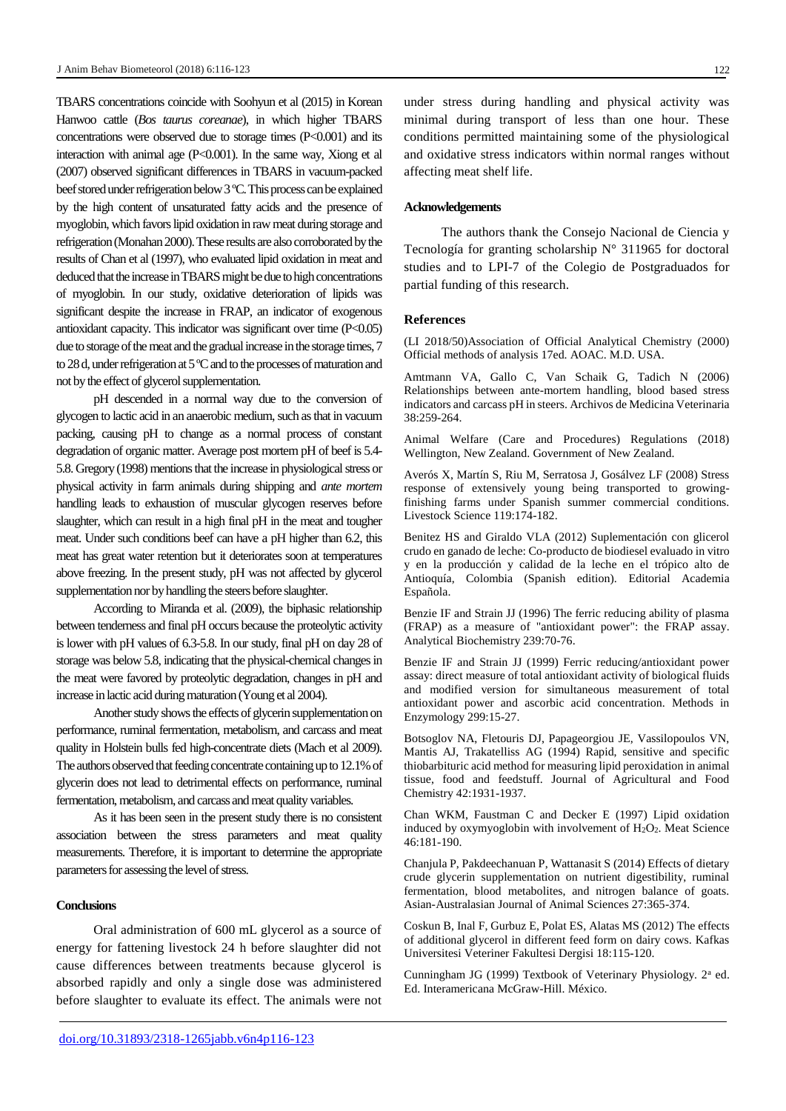TBARS concentrations coincide with Soohyun et al (2015) in Korean Hanwoo cattle (*Bos taurus coreanae*), in which higher TBARS concentrations were observed due to storage times (P<0.001) and its interaction with animal age (P<0.001). In the same way, Xiong et al (2007) observed significant differences in TBARS in vacuum-packed beef stored under refrigeration below 3 ºC. This process can be explained by the high content of unsaturated fatty acids and the presence of myoglobin, which favors lipid oxidation in raw meat during storage and refrigeration (Monahan 2000). These results are also corroborated by the results of Chan et al (1997), who evaluated lipid oxidation in meat and deduced that the increase in TBARS might be due to high concentrations of myoglobin. In our study, oxidative deterioration of lipids was significant despite the increase in FRAP, an indicator of exogenous antioxidant capacity. This indicator was significant over time  $(P<0.05)$ due to storage of the meat and the gradual increase in the storage times, 7 to 28 d, under refrigeration at 5 ºC and to the processes of maturation and not by the effect of glycerol supplementation.

pH descended in a normal way due to the conversion of glycogen to lactic acid in an anaerobic medium, such as that in vacuum packing, causing pH to change as a normal process of constant degradation of organic matter. Average post mortem pH of beef is 5.4- 5.8. Gregory (1998) mentions that the increase in physiological stress or physical activity in farm animals during shipping and *ante mortem* handling leads to exhaustion of muscular glycogen reserves before slaughter, which can result in a high final pH in the meat and tougher meat. Under such conditions beef can have a pH higher than 6.2, this meat has great water retention but it deteriorates soon at temperatures above freezing. In the present study, pH was not affected by glycerol supplementation nor by handling the steers before slaughter.

According to Miranda et al. (2009), the biphasic relationship between tenderness and final pH occurs because the proteolytic activity is lower with pH values of 6.3-5.8. In our study, final pH on day 28 of storage was below 5.8, indicating that the physical-chemical changes in the meat were favored by proteolytic degradation, changes in pH and increase in lactic acid during maturation (Young et al 2004).

Another study shows the effects of glycerin supplementation on performance, ruminal fermentation, metabolism, and carcass and meat quality in Holstein bulls fed high-concentrate diets (Mach et al 2009). The authors observed that feeding concentrate containing up to 12.1% of glycerin does not lead to detrimental effects on performance, ruminal fermentation, metabolism, and carcass and meat quality variables.

As it has been seen in the present study there is no consistent association between the stress parameters and meat quality measurements. Therefore, it is important to determine the appropriate parameters for assessing the level of stress.

# **Conclusions**

Oral administration of 600 mL glycerol as a source of energy for fattening livestock 24 h before slaughter did not cause differences between treatments because glycerol is absorbed rapidly and only a single dose was administered before slaughter to evaluate its effect. The animals were not

under stress during handling and physical activity was minimal during transport of less than one hour. These conditions permitted maintaining some of the physiological and oxidative stress indicators within normal ranges without affecting meat shelf life.

#### **Acknowledgements**

The authors thank the Consejo Nacional de Ciencia y Tecnología for granting scholarship  $N^{\circ}$  311965 for doctoral studies and to LPI-7 of the Colegio de Postgraduados for partial funding of this research.

#### **References**

(LI 2018/50)Association of Official Analytical Chemistry (2000) Official methods of analysis 17ed. AOAC. M.D. USA.

Amtmann VA, Gallo C, Van Schaik G, Tadich N (2006) Relationships between ante-mortem handling, blood based stress indicators and carcass pH in steers. Archivos de Medicina Veterinaria 38:259-264.

Animal Welfare (Care and Procedures) Regulations (2018) Wellington, New Zealand. Government of New Zealand.

Averós X, Martín S, Riu M, Serratosa J, Gosálvez LF (2008) Stress response of extensively young being transported to growingfinishing farms under Spanish summer commercial conditions. Livestock Science 119:174-182.

Benitez HS and Giraldo VLA (2012) Suplementación con glicerol crudo en ganado de leche: Co-producto de biodiesel evaluado in vitro y en la producción y calidad de la leche en el trópico alto de Antioquía, Colombia (Spanish edition). Editorial Academia Española.

Benzie IF and Strain JJ (1996) The ferric reducing ability of plasma (FRAP) as a measure of "antioxidant power": the FRAP assay. Analytical Biochemistry 239:70-76.

Benzie IF and Strain JJ (1999) Ferric reducing/antioxidant power assay: direct measure of total antioxidant activity of biological fluids and modified version for simultaneous measurement of total antioxidant power and ascorbic acid concentration. Methods in Enzymology 299:15-27.

Botsoglov NA, Fletouris DJ, Papageorgiou JE, Vassilopoulos VN, Mantis AJ, Trakatelliss AG (1994) Rapid, sensitive and specific thiobarbituric acid method for measuring lipid peroxidation in animal tissue, food and feedstuff. Journal of Agricultural and Food Chemistry 42:1931-1937.

Chan WKM, Faustman C and Decker E (1997) Lipid oxidation induced by oxymyoglobin with involvement of H<sub>2</sub>O<sub>2</sub>. Meat Science 46:181-190.

Chanjula P, Pakdeechanuan P, Wattanasit S (2014) Effects of dietary crude glycerin supplementation on nutrient digestibility, ruminal fermentation, blood metabolites, and nitrogen balance of goats. Asian-Australasian Journal of Animal Sciences 27:365-374.

Coskun B, Inal F, Gurbuz E, Polat ES, Alatas MS (2012) The effects of additional glycerol in different feed form on dairy cows. Kafkas Universitesi Veteriner Fakultesi Dergisi 18:115-120.

Cunningham JG (1999) Textbook of Veterinary Physiology. 2<sup>a</sup> ed. Ed. Interamericana McGraw-Hill. México.